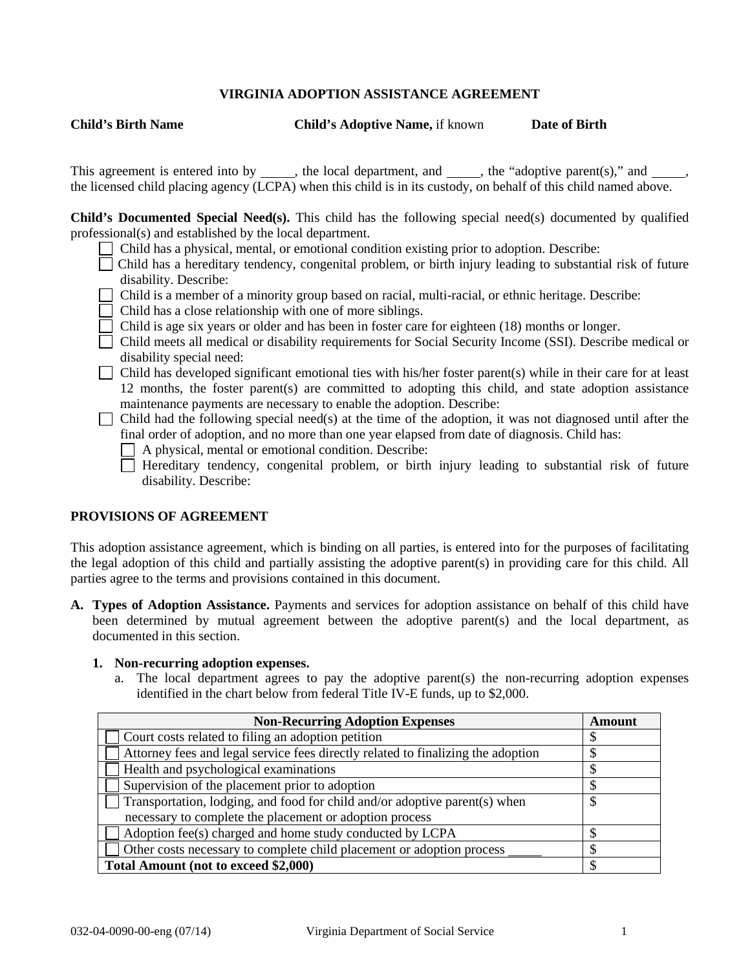## **VIRGINIA ADOPTION ASSISTANCE AGREEMENT**

**Child's Birth Name Child's Adoptive Name,** if known **Date of Birth**

This agreement is entered into by  $\_\_\_\_\$ , the local department, and  $\_\_\_\_\_\$ , the "adoptive parent(s)," and  $\_\_\_\_\_\$ the licensed child placing agency (LCPA) when this child is in its custody, on behalf of this child named above.

**Child's Documented Special Need(s).** This child has the following special need(s) documented by qualified professional(s) and established by the local department.

- Child has a physical, mental, or emotional condition existing prior to adoption. Describe:
- $\Box$  Child has a hereditary tendency, congenital problem, or birth injury leading to substantial risk of future disability. Describe:
- Child is a member of a minority group based on racial, multi-racial, or ethnic heritage. Describe:
- $\Box$  Child has a close relationship with one of more siblings.
- Child is age six years or older and has been in foster care for eighteen (18) months or longer.
- Child meets all medical or disability requirements for Social Security Income (SSI). Describe medical or disability special need:
- $\Box$  Child has developed significant emotional ties with his/her foster parent(s) while in their care for at least 12 months, the foster parent(s) are committed to adopting this child, and state adoption assistance maintenance payments are necessary to enable the adoption. Describe:

Child had the following special need(s) at the time of the adoption, it was not diagnosed until after the final order of adoption, and no more than one year elapsed from date of diagnosis. Child has:

A physical, mental or emotional condition. Describe:

 $\Box$  Hereditary tendency, congenital problem, or birth injury leading to substantial risk of future disability. Describe:

#### **PROVISIONS OF AGREEMENT**

This adoption assistance agreement, which is binding on all parties, is entered into for the purposes of facilitating the legal adoption of this child and partially assisting the adoptive parent(s) in providing care for this child. All parties agree to the terms and provisions contained in this document.

**A. Types of Adoption Assistance.** Payments and services for adoption assistance on behalf of this child have been determined by mutual agreement between the adoptive parent(s) and the local department, as documented in this section.

#### **1. Non-recurring adoption expenses.**

a. The local department agrees to pay the adoptive parent(s) the non-recurring adoption expenses identified in the chart below from federal Title IV-E funds, up to \$2,000.

| <b>Non-Recurring Adoption Expenses</b>                                           | <b>Amount</b> |
|----------------------------------------------------------------------------------|---------------|
| Court costs related to filing an adoption petition                               |               |
| Attorney fees and legal service fees directly related to finalizing the adoption |               |
| Health and psychological examinations                                            |               |
| Supervision of the placement prior to adoption                                   |               |
| Transportation, lodging, and food for child and/or adoptive parent(s) when       | \$            |
| necessary to complete the placement or adoption process                          |               |
| Adoption fee(s) charged and home study conducted by LCPA                         | S             |
| Other costs necessary to complete child placement or adoption process            |               |
| Total Amount (not to exceed \$2,000)                                             | S             |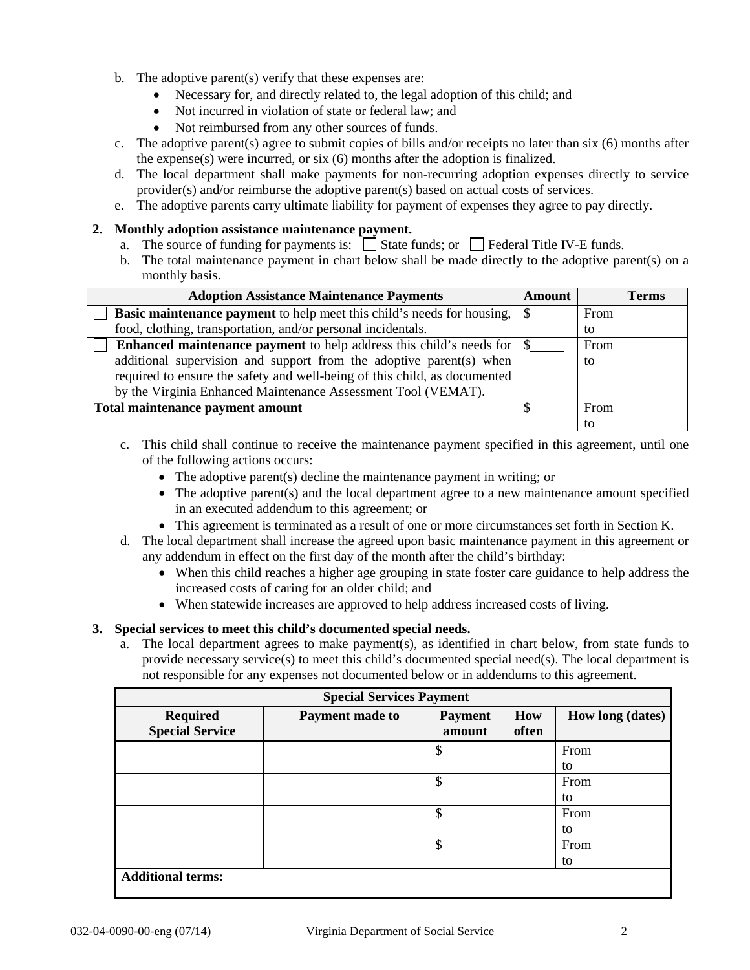- b. The adoptive parent(s) verify that these expenses are:
	- Necessary for, and directly related to, the legal adoption of this child; and
	- Not incurred in violation of state or federal law; and
	- Not reimbursed from any other sources of funds.
- c. The adoptive parent(s) agree to submit copies of bills and/or receipts no later than six (6) months after the expense(s) were incurred, or six (6) months after the adoption is finalized.
- d. The local department shall make payments for non-recurring adoption expenses directly to service provider(s) and/or reimburse the adoptive parent(s) based on actual costs of services.
- e. The adoptive parents carry ultimate liability for payment of expenses they agree to pay directly.

## **2. Monthly adoption assistance maintenance payment.**

- a. The source of funding for payments is:  $\Box$  State funds; or  $\Box$  Federal Title IV-E funds.
- b. The total maintenance payment in chart below shall be made directly to the adoptive parent(s) on a monthly basis.

| <b>Adoption Assistance Maintenance Payments</b>                                      | <b>Amount</b> | <b>Terms</b> |
|--------------------------------------------------------------------------------------|---------------|--------------|
| <b>Basic maintenance payment</b> to help meet this child's needs for housing, $\ \$  |               | From         |
| food, clothing, transportation, and/or personal incidentals.                         |               | to           |
| <b>Enhanced maintenance payment</b> to help address this child's needs for $\vert \$ |               | From         |
| additional supervision and support from the adoptive parent(s) when                  |               | to           |
| required to ensure the safety and well-being of this child, as documented            |               |              |
| by the Virginia Enhanced Maintenance Assessment Tool (VEMAT).                        |               |              |
| Total maintenance payment amount                                                     |               | From         |
|                                                                                      |               | to           |

- c. This child shall continue to receive the maintenance payment specified in this agreement, until one of the following actions occurs:
	- The adoptive parent(s) decline the maintenance payment in writing; or
	- The adoptive parent(s) and the local department agree to a new maintenance amount specified in an executed addendum to this agreement; or
	- This agreement is terminated as a result of one or more circumstances set forth in Section K.
- d. The local department shall increase the agreed upon basic maintenance payment in this agreement or any addendum in effect on the first day of the month after the child's birthday:
	- When this child reaches a higher age grouping in state foster care guidance to help address the increased costs of caring for an older child; and
	- When statewide increases are approved to help address increased costs of living.

# **3. Special services to meet this child's documented special needs.**

a. The local department agrees to make payment(s), as identified in chart below, from state funds to provide necessary service(s) to meet this child's documented special need(s). The local department is not responsible for any expenses not documented below or in addendums to this agreement.

| <b>Special Services Payment</b>           |                 |                          |              |                         |  |  |
|-------------------------------------------|-----------------|--------------------------|--------------|-------------------------|--|--|
| <b>Required</b><br><b>Special Service</b> | Payment made to | <b>Payment</b><br>amount | How<br>often | <b>How long (dates)</b> |  |  |
|                                           |                 | \$                       |              | From                    |  |  |
|                                           |                 |                          |              | to                      |  |  |
|                                           |                 | \$                       |              | From                    |  |  |
|                                           |                 |                          |              | to                      |  |  |
|                                           |                 | \$                       |              | From                    |  |  |
|                                           |                 |                          |              | to                      |  |  |
|                                           |                 | \$                       |              | From                    |  |  |
|                                           |                 |                          |              | to                      |  |  |
| <b>Additional terms:</b>                  |                 |                          |              |                         |  |  |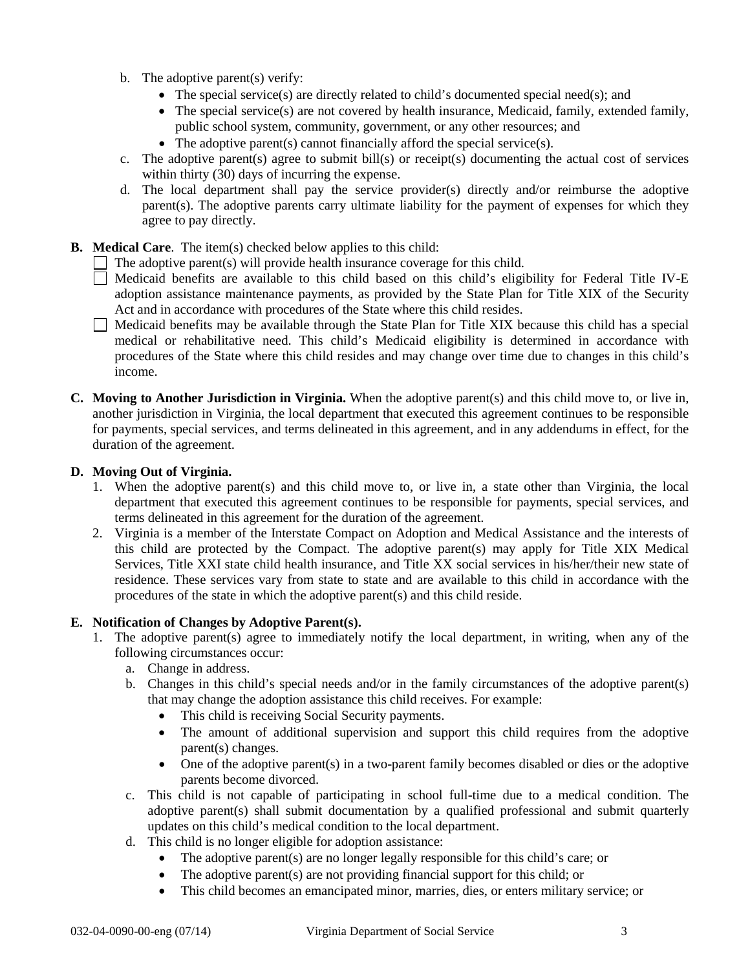- b. The adoptive parent(s) verify:
	- The special service(s) are directly related to child's documented special need(s); and
	- The special service(s) are not covered by health insurance, Medicaid, family, extended family, public school system, community, government, or any other resources; and
	- The adoptive parent(s) cannot financially afford the special service(s).
- c. The adoptive parent(s) agree to submit bill(s) or receipt(s) documenting the actual cost of services within thirty (30) days of incurring the expense.
- d. The local department shall pay the service provider(s) directly and/or reimburse the adoptive parent(s). The adoptive parents carry ultimate liability for the payment of expenses for which they agree to pay directly.
- **B. Medical Care**. The item(s) checked below applies to this child:
	- $\Box$  The adoptive parent(s) will provide health insurance coverage for this child.
	- Medicaid benefits are available to this child based on this child's eligibility for Federal Title IV-E adoption assistance maintenance payments, as provided by the State Plan for Title XIX of the Security Act and in accordance with procedures of the State where this child resides.
	- $\Box$  Medicaid benefits may be available through the State Plan for Title XIX because this child has a special medical or rehabilitative need. This child's Medicaid eligibility is determined in accordance with procedures of the State where this child resides and may change over time due to changes in this child's income.
- **C. Moving to Another Jurisdiction in Virginia.** When the adoptive parent(s) and this child move to, or live in, another jurisdiction in Virginia, the local department that executed this agreement continues to be responsible for payments, special services, and terms delineated in this agreement, and in any addendums in effect, for the duration of the agreement.

## **D. Moving Out of Virginia.**

- 1. When the adoptive parent(s) and this child move to, or live in, a state other than Virginia, the local department that executed this agreement continues to be responsible for payments, special services, and terms delineated in this agreement for the duration of the agreement.
- 2. Virginia is a member of the Interstate Compact on Adoption and Medical Assistance and the interests of this child are protected by the Compact. The adoptive parent(s) may apply for Title XIX Medical Services, Title XXI state child health insurance, and Title XX social services in his/her/their new state of residence. These services vary from state to state and are available to this child in accordance with the procedures of the state in which the adoptive parent(s) and this child reside.

## **E. Notification of Changes by Adoptive Parent(s).**

- 1. The adoptive parent(s) agree to immediately notify the local department, in writing, when any of the following circumstances occur:
	- a. Change in address.
	- b. Changes in this child's special needs and/or in the family circumstances of the adoptive parent(s) that may change the adoption assistance this child receives. For example:
		- This child is receiving Social Security payments.
		- The amount of additional supervision and support this child requires from the adoptive parent(s) changes.
		- One of the adoptive parent(s) in a two-parent family becomes disabled or dies or the adoptive parents become divorced.
	- c. This child is not capable of participating in school full-time due to a medical condition. The adoptive parent(s) shall submit documentation by a qualified professional and submit quarterly updates on this child's medical condition to the local department.
	- d. This child is no longer eligible for adoption assistance:
		- The adoptive parent(s) are no longer legally responsible for this child's care; or
		- The adoptive parent(s) are not providing financial support for this child; or
		- This child becomes an emancipated minor, marries, dies, or enters military service; or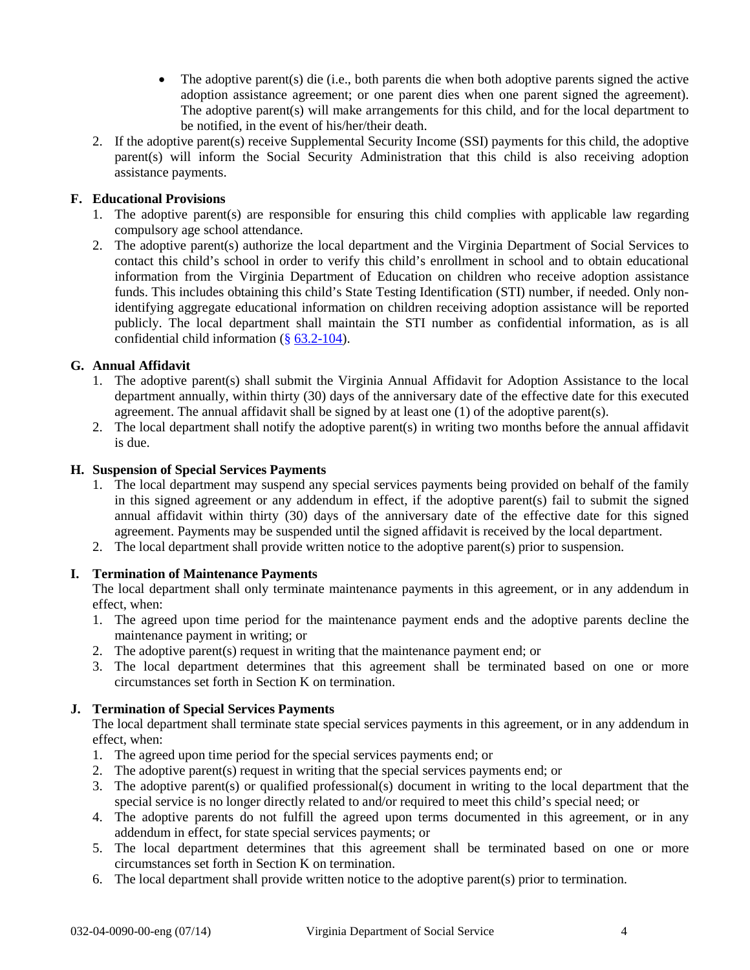- The adoptive parent(s) die (i.e., both parents die when both adoptive parents signed the active adoption assistance agreement; or one parent dies when one parent signed the agreement). The adoptive parent(s) will make arrangements for this child, and for the local department to be notified, in the event of his/her/their death.
- 2. If the adoptive parent(s) receive Supplemental Security Income (SSI) payments for this child, the adoptive parent(s) will inform the Social Security Administration that this child is also receiving adoption assistance payments.

# **F. Educational Provisions**

- 1. The adoptive parent(s) are responsible for ensuring this child complies with applicable law regarding compulsory age school attendance.
- 2. The adoptive parent(s) authorize the local department and the Virginia Department of Social Services to contact this child's school in order to verify this child's enrollment in school and to obtain educational information from the Virginia Department of Education on children who receive adoption assistance funds. This includes obtaining this child's State Testing Identification (STI) number, if needed. Only nonidentifying aggregate educational information on children receiving adoption assistance will be reported publicly. The local department shall maintain the STI number as confidential information, as is all confidential child information (§ [63.2-104\)](http://leg1.state.va.us/cgi-bin/legp504.exe?000+cod+63.2-104).

## **G. Annual Affidavit**

- 1. The adoptive parent(s) shall submit the Virginia Annual Affidavit for Adoption Assistance to the local department annually, within thirty (30) days of the anniversary date of the effective date for this executed agreement. The annual affidavit shall be signed by at least one (1) of the adoptive parent(s).
- 2. The local department shall notify the adoptive parent(s) in writing two months before the annual affidavit is due.

## **H. Suspension of Special Services Payments**

- 1. The local department may suspend any special services payments being provided on behalf of the family in this signed agreement or any addendum in effect, if the adoptive parent(s) fail to submit the signed annual affidavit within thirty (30) days of the anniversary date of the effective date for this signed agreement. Payments may be suspended until the signed affidavit is received by the local department.
- 2. The local department shall provide written notice to the adoptive parent(s) prior to suspension.

# **I. Termination of Maintenance Payments**

The local department shall only terminate maintenance payments in this agreement, or in any addendum in effect, when:

- 1. The agreed upon time period for the maintenance payment ends and the adoptive parents decline the maintenance payment in writing; or
- 2. The adoptive parent(s) request in writing that the maintenance payment end; or
- 3. The local department determines that this agreement shall be terminated based on one or more circumstances set forth in Section K on termination.

## **J. Termination of Special Services Payments**

The local department shall terminate state special services payments in this agreement, or in any addendum in effect, when:

- 1. The agreed upon time period for the special services payments end; or
- 2. The adoptive parent(s) request in writing that the special services payments end; or
- 3. The adoptive parent(s) or qualified professional(s) document in writing to the local department that the special service is no longer directly related to and/or required to meet this child's special need; or
- 4. The adoptive parents do not fulfill the agreed upon terms documented in this agreement, or in any addendum in effect, for state special services payments; or
- 5. The local department determines that this agreement shall be terminated based on one or more circumstances set forth in Section K on termination.
- 6. The local department shall provide written notice to the adoptive parent(s) prior to termination.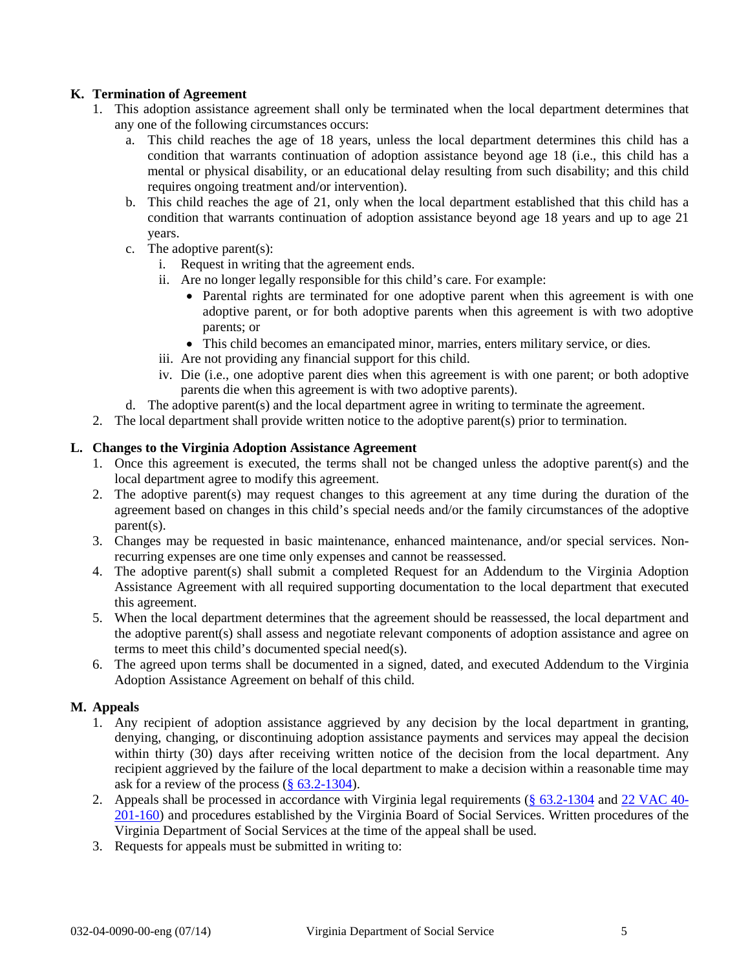# **K. Termination of Agreement**

- 1. This adoption assistance agreement shall only be terminated when the local department determines that any one of the following circumstances occurs:
	- a. This child reaches the age of 18 years, unless the local department determines this child has a condition that warrants continuation of adoption assistance beyond age 18 (i.e., this child has a mental or physical disability, or an educational delay resulting from such disability; and this child requires ongoing treatment and/or intervention).
	- b. This child reaches the age of 21, only when the local department established that this child has a condition that warrants continuation of adoption assistance beyond age 18 years and up to age 21 years.
	- c. The adoptive parent(s):
		- i. Request in writing that the agreement ends.
		- ii. Are no longer legally responsible for this child's care. For example:
			- Parental rights are terminated for one adoptive parent when this agreement is with one adoptive parent, or for both adoptive parents when this agreement is with two adoptive parents; or
			- This child becomes an emancipated minor, marries, enters military service, or dies.
		- iii. Are not providing any financial support for this child.
		- iv. Die (i.e., one adoptive parent dies when this agreement is with one parent; or both adoptive parents die when this agreement is with two adoptive parents).
	- d. The adoptive parent(s) and the local department agree in writing to terminate the agreement.
- 2. The local department shall provide written notice to the adoptive parent(s) prior to termination.

## **L. Changes to the Virginia Adoption Assistance Agreement**

- 1. Once this agreement is executed, the terms shall not be changed unless the adoptive parent(s) and the local department agree to modify this agreement.
- 2. The adoptive parent(s) may request changes to this agreement at any time during the duration of the agreement based on changes in this child's special needs and/or the family circumstances of the adoptive parent(s).
- 3. Changes may be requested in basic maintenance, enhanced maintenance, and/or special services. Nonrecurring expenses are one time only expenses and cannot be reassessed.
- 4. The adoptive parent(s) shall submit a completed Request for an Addendum to the Virginia Adoption Assistance Agreement with all required supporting documentation to the local department that executed this agreement.
- 5. When the local department determines that the agreement should be reassessed, the local department and the adoptive parent(s) shall assess and negotiate relevant components of adoption assistance and agree on terms to meet this child's documented special need(s).
- 6. The agreed upon terms shall be documented in a signed, dated, and executed Addendum to the Virginia Adoption Assistance Agreement on behalf of this child.

## **M. Appeals**

- 1. Any recipient of adoption assistance aggrieved by any decision by the local department in granting, denying, changing, or discontinuing adoption assistance payments and services may appeal the decision within thirty (30) days after receiving written notice of the decision from the local department. Any recipient aggrieved by the failure of the local department to make a decision within a reasonable time may ask for a review of the process  $(\frac{8}{2} 63.2 - 1304)$ .
- 2. Appeals shall be processed in accordance with Virginia legal requirements [\(§ 63.2-1304](http://leg1.state.va.us/cgi-bin/legp504.exe?000+cod+63.2-1304) and [22 VAC 40-](http://leg1.state.va.us/cgi-bin/legp504.exe?000+reg+22VAC40-201-160) [201-160\)](http://leg1.state.va.us/cgi-bin/legp504.exe?000+reg+22VAC40-201-160) and procedures established by the Virginia Board of Social Services. Written procedures of the Virginia Department of Social Services at the time of the appeal shall be used.
- 3. Requests for appeals must be submitted in writing to: